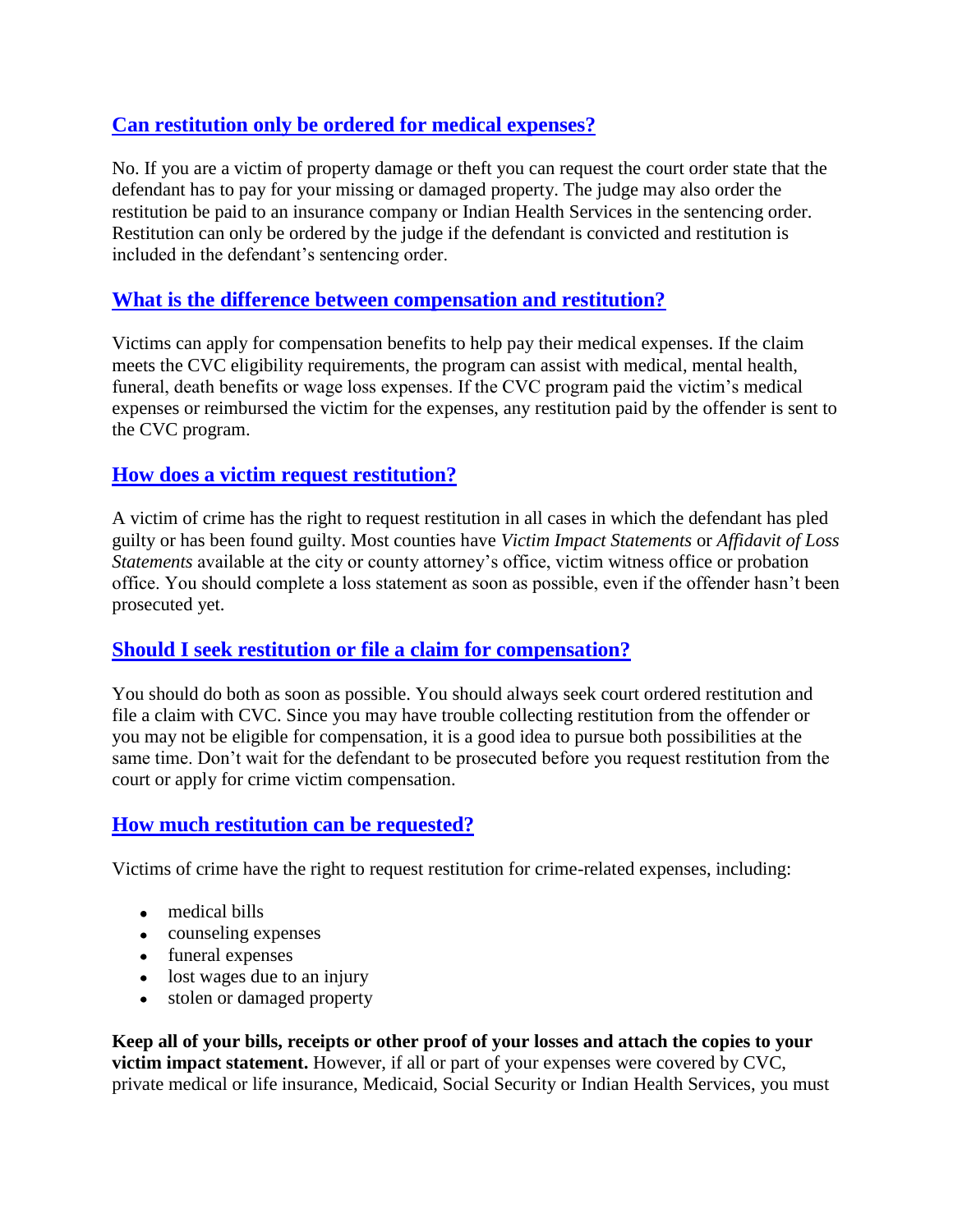# **[Can restitution only be ordered for medical expenses?](https://doj.mt.gov/wp-admin/post.php?post=24906&action=edit&message=1)**

No. If you are a victim of property damage or theft you can request the court order state that the defendant has to pay for your missing or damaged property. The judge may also order the restitution be paid to an insurance company or Indian Health Services in the sentencing order. Restitution can only be ordered by the judge if the defendant is convicted and restitution is included in the defendant's sentencing order.

## **[What is the difference between compensation and restitution?](https://doj.mt.gov/wp-admin/post.php?post=24906&action=edit&message=1)**

Victims can apply for compensation benefits to help pay their medical expenses. If the claim meets the CVC eligibility requirements, the program can assist with medical, mental health, funeral, death benefits or wage loss expenses. If the CVC program paid the victim's medical expenses or reimbursed the victim for the expenses, any restitution paid by the offender is sent to the CVC program.

## **[How does a victim request restitution?](https://doj.mt.gov/wp-admin/post.php?post=24906&action=edit&message=1)**

A victim of crime has the right to request restitution in all cases in which the defendant has pled guilty or has been found guilty. Most counties have *Victim Impact Statements* or *Affidavit of Loss Statements* available at the city or county attorney's office, victim witness office or probation office. You should complete a loss statement as soon as possible, even if the offender hasn't been prosecuted yet.

## **[Should I seek restitution or file a claim for compensation?](https://doj.mt.gov/wp-admin/post.php?post=24906&action=edit&message=1)**

You should do both as soon as possible. You should always seek court ordered restitution and file a claim with CVC. Since you may have trouble collecting restitution from the offender or you may not be eligible for compensation, it is a good idea to pursue both possibilities at the same time. Don't wait for the defendant to be prosecuted before you request restitution from the court or apply for crime victim compensation.

## **[How much restitution can be requested?](https://doj.mt.gov/wp-admin/post.php?post=24906&action=edit&message=1)**

Victims of crime have the right to request restitution for crime-related expenses, including:

- medical bills
- counseling expenses
- funeral expenses
- lost wages due to an injury
- stolen or damaged property

**Keep all of your bills, receipts or other proof of your losses and attach the copies to your victim impact statement.** However, if all or part of your expenses were covered by CVC, private medical or life insurance, Medicaid, Social Security or Indian Health Services, you must